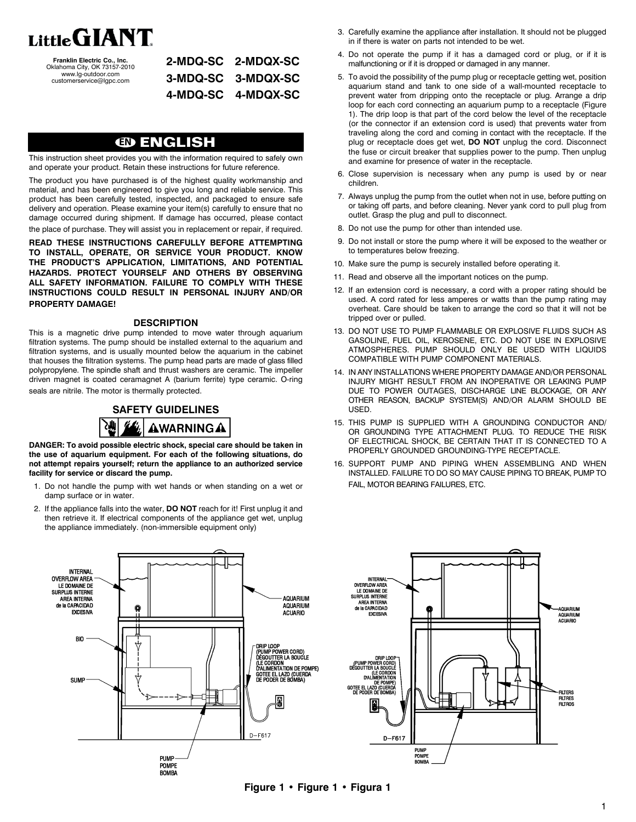

**Franklin Electric Co., Inc.**<br>Oklahoma City, OK 73157-2010<br>www.lg-outdoor.com customerservice@lgpc.com

| 2-MDQ-SC 2-MDQX-SC |
|--------------------|
| 3-MDQ-SC 3-MDQX-SC |
| 4-MDQ-SC 4-MDQX-SC |

# **EN ENGLISH**

This instruction sheet provides you with the information required to safely own and operate your product. Retain these instructions for future reference.

The product you have purchased is of the highest quality workmanship and material, and has been engineered to give you long and reliable service. This product has been carefully tested, inspected, and packaged to ensure safe delivery and operation. Please examine your item(s) carefully to ensure that no damage occurred during shipment. If damage has occurred, please contact the place of purchase. They will assist you in replacement or repair, if required.

**READ THESE INSTRUCTIONS CAREFULLY BEFORE ATTEMPTING TO INSTALL, OPERATE, OR SERVICE YOUR PRODUCT. KNOW THE PRODUCT'S APPLICATION, LIMITATIONS, AND POTENTIAL HAZARDS. PROTECT YOURSELF AND OTHERS BY OBSERVING ALL SAFETY INFORMATION. FAILURE TO COMPLY WITH THESE INSTRUCTIONS COULD RESULT IN PERSONAL INJURY AND/OR PROPERTY DAMAGE!**

#### **DESCRIPTION**

This is a magnetic drive pump intended to move water through aquarium filtration systems. The pump should be installed external to the aquarium and filtration systems, and is usually mounted below the aquarium in the cabinet that houses the filtration systems. The pump head parts are made of glass filled polypropylene. The spindle shaft and thrust washers are ceramic. The impeller driven magnet is coated ceramagnet A (barium ferrite) type ceramic. O-ring seals are nitrile. The motor is thermally protected.

> **SAFETY GUIDELINES** AWARNINGA

**DANGER: To avoid possible electric shock, special care should be taken in the use of aquarium equipment. For each of the following situations, do not attempt repairs yourself; return the appliance to an authorized service facility for service or discard the pump.**

- 1. Do not handle the pump with wet hands or when standing on a wet or damp surface or in water.
- 2. If the appliance falls into the water, **DO NOT** reach for it! First unplug it and then retrieve it. If electrical components of the appliance get wet, unplug the appliance immediately. (non-immersible equipment only)
- 3. Carefully examine the appliance after installation. It should not be plugged in if there is water on parts not intended to be wet.
- 4. Do not operate the pump if it has a damaged cord or plug, or if it is malfunctioning or if it is dropped or damaged in any manner.
- 5. To avoid the possibility of the pump plug or receptacle getting wet, position aquarium stand and tank to one side of a wall-mounted receptacle to prevent water from dripping onto the receptacle or plug. Arrange a drip loop for each cord connecting an aquarium pump to a receptacle (Figure 1). The drip loop is that part of the cord below the level of the receptacle (or the connector if an extension cord is used) that prevents water from traveling along the cord and coming in contact with the receptacle. If the plug or receptacle does get wet, **DO NOT** unplug the cord. Disconnect the fuse or circuit breaker that supplies power to the pump. Then unplug and examine for presence of water in the receptacle.
- 6. Close supervision is necessary when any pump is used by or near children.
- 7. Always unplug the pump from the outlet when not in use, before putting on or taking off parts, and before cleaning. Never yank cord to pull plug from outlet. Grasp the plug and pull to disconnect.
- 8. Do not use the pump for other than intended use.
- 9. Do not install or store the pump where it will be exposed to the weather or to temperatures below freezing.
- 10. Make sure the pump is securely installed before operating it.
- 11. Read and observe all the important notices on the pump.
- 12. If an extension cord is necessary, a cord with a proper rating should be used. A cord rated for less amperes or watts than the pump rating may overheat. Care should be taken to arrange the cord so that it will not be tripped over or pulled.
- 13. DO NOT USE TO PUMP FLAMMABLE OR EXPLOSIVE FLUIDS SUCH AS GASOLINE, FUEL OIL, KEROSENE, ETC. DO NOT USE IN EXPLOSIVE ATMOSPHERES. PUMP SHOULD ONLY BE USED WITH LIQUIDS COMPATIBLE WITH PUMP COMPONENT MATERIALS.
- 14. IN ANY INSTALLATIONS WHERE PROPERTY DAMAGE AND/OR PERSONAL INJURY MIGHT RESULT FROM AN INOPERATIVE OR LEAKING PUMP DUE TO POWER OUTAGES, DISCHARGE LINE BLOCKAGE, OR ANY OTHER REASON, BACKUP SYSTEM(S) AND/OR ALARM SHOULD BE USED.
- 15. THIS PUMP IS SUPPLIED WITH A GROUNDING CONDUCTOR AND/ OR GROUNDING TYPE ATTACHMENT PLUG. TO REDUCE THE RISK OF ELECTRICAL SHOCK, BE CERTAIN THAT IT IS CONNECTED TO A PROPERLY GROUNDED GROUNDING-TYPE RECEPTACLE.
- 16. SUPPORT PUMP AND PIPING WHEN ASSEMBLING AND WHEN INSTALLED. FAILURE TO DO SO MAY CAUSE PIPING TO BREAK, PUMP TO FAIL, MOTOR BEARING FAILURES, ETC.



**Figure 1 • Figure 1 • Figura 1**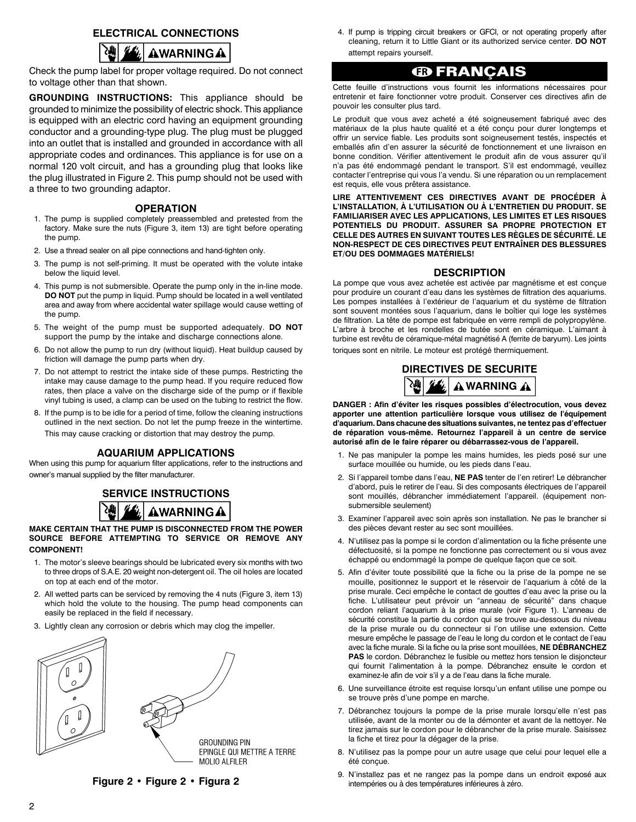## **ELECTRICAL CONNECTIONS**



Check the pump label for proper voltage required. Do not connect to voltage other than that shown.

**GROUNDING INSTRUCTIONS:** This appliance should be grounded to minimize the possibility of electric shock. This appliance is equipped with an electric cord having an equipment grounding conductor and a grounding-type plug. The plug must be plugged into an outlet that is installed and grounded in accordance with all appropriate codes and ordinances. This appliance is for use on a normal 120 volt circuit, and has a grounding plug that looks like the plug illustrated in Figure 2. This pump should not be used with a three to two grounding adaptor.

#### **OPERATION**

- 1. The pump is supplied completely preassembled and pretested from the factory. Make sure the nuts (Figure 3, item 13) are tight before operating the pump.
- 2. Use a thread sealer on all pipe connections and hand-tighten only.
- 3. The pump is not self-priming. It must be operated with the volute intake below the liquid level.
- 4. This pump is not submersible. Operate the pump only in the in-line mode. **DO NOT** put the pump in liquid. Pump should be located in a well ventilated area and away from where accidental water spillage would cause wetting of the pump.
- 5. The weight of the pump must be supported adequately. **DO NOT** support the pump by the intake and discharge connections alone.
- 6. Do not allow the pump to run dry (without liquid). Heat buildup caused by friction will damage the pump parts when dry.
- 7. Do not attempt to restrict the intake side of these pumps. Restricting the intake may cause damage to the pump head. If you require reduced flow rates, then place a valve on the discharge side of the pump or if flexible vinyl tubing is used, a clamp can be used on the tubing to restrict the flow.
- 8. If the pump is to be idle for a period of time, follow the cleaning instructions outlined in the next section. Do not let the pump freeze in the wintertime. This may cause cracking or distortion that may destroy the pump.

### **AQUARIUM APPLICATIONS**

When using this pump for aquarium filter applications, refer to the instructions and owner's manual supplied by the filter manufacturer.

# **SERVICE INSTRUCTIONS AWARNING A**

## **MAKE CERTAIN THAT THE PUMP IS DISCONNECTED FROM THE POWER SOURCE BEFORE ATTEMPTING TO SERVICE OR REMOVE ANY COMPONENT!**

- 1. The motor's sleeve bearings should be lubricated every six months with two to three drops of S.A.E. 20 weight non-detergent oil. The oil holes are located on top at each end of the motor.
- 2. All wetted parts can be serviced by removing the 4 nuts (Figure 3, item 13) which hold the volute to the housing. The pump head components can easily be replaced in the field if necessary.
- 3. Lightly clean any corrosion or debris which may clog the impeller.



**Figure 2 • Figure 2 • Figura 2**

4. If pump is tripping circuit breakers or GFCI, or not operating properly after cleaning, return it to Little Giant or its authorized service center. **DO NOT** attempt repairs yourself.

# **FR FRANÇAIS**

Cette feuille d'instructions vous fournit les informations nécessaires pour entretenir et faire fonctionner votre produit. Conserver ces directives afin de pouvoir les consulter plus tard.

Le produit que vous avez acheté a été soigneusement fabriqué avec des matériaux de la plus haute qualité et a été conçu pour durer longtemps et offrir un service fiable. Les produits sont soigneusement testés, inspectés et emballés afin d'en assurer la sécurité de fonctionnement et une livraison en bonne condition. Vérifier attentivement le produit afin de vous assurer qu'il n'a pas été endommagé pendant le transport. S'il est endommagé, veuillez contacter l'entreprise qui vous l'a vendu. Si une réparation ou un remplacement est requis, elle vous prêtera assistance.

**LIRE ATTENTIVEMENT CES DIRECTIVES AVANT DE PROCÉDER À L'INSTALLATION, À L'UTILISATION OU À L'ENTRETIEN DU PRODUIT. SE FAMILIARISER AVEC LES APPLICATIONS, LES LIMITES ET LES RISQUES POTENTIELS DU PRODUIT. ASSURER SA PROPRE PROTECTION ET CELLE DES AUTRES EN SUIVANT TOUTES LES RÈGLES DE SÉCURITÉ. LE NON-RESPECT DE CES DIRECTIVES PEUT ENTRAÎNER DES BLESSURES ET/OU DES DOMMAGES MATÉRIELS!**

## **DESCRIPTION**

La pompe que vous avez achetée est activée par magnétisme et est conçue pour produire un courant d'eau dans les systèmes de filtration des aquariums. Les pompes installées à l'extérieur de l'aquarium et du système de filtration sont souvent montées sous l'aquarium, dans le boîtier qui loge les systèmes de filtration. La tête de pompe est fabriquée en verre rempli de polypropylène. L'arbre à broche et les rondelles de butée sont en céramique. L'aimant à turbine est revêtu de céramique-métal magnétisé A (ferrite de baryum). Les joints toriques sont en nitrile. Le moteur est protégé thermiquement.



**DANGER : Afin d'éviter les risques possibles d'électrocution, vous devez apporter une attention particulière lorsque vous utilisez de l'équipement d'aquarium. Dans chacune des situations suivantes, ne tentez pas d'effectuer de réparation vous-même. Retournez l'appareil à un centre de service autorisé afin de le faire réparer ou débarrassez-vous de l'appareil.**

- 1. Ne pas manipuler la pompe les mains humides, les pieds posé sur une surface mouillée ou humide, ou les pieds dans l'eau.
- 2. Si l'appareil tombe dans l'eau, **NE PAS** tenter de l'en retirer! Le débrancher d'abord, puis le retirer de l'eau. Si des composants électriques de l'appareil sont mouillés, débrancher immédiatement l'appareil. (équipement nonsubmersible seulement)
- 3. Examiner l'appareil avec soin après son installation. Ne pas le brancher si des pièces devant rester au sec sont mouillées.
- 4. N'utilisez pas la pompe si le cordon d'alimentation ou la fiche présente une défectuosité, si la pompe ne fonctionne pas correctement ou si vous avez échappé ou endommagé la pompe de quelque façon que ce soit.
- 5. Afin d'éviter toute possibilité que la fiche ou la prise de la pompe ne se mouille, positionnez le support et le réservoir de l'aquarium à côté de la prise murale. Ceci empêche le contact de gouttes d'eau avec la prise ou la fiche. L'utilisateur peut prévoir un "anneau de sécurité" dans chaque cordon reliant l'aquarium à la prise murale (voir Figure 1). L'anneau de sécurité constitue la partie du cordon qui se trouve au-dessous du niveau de la prise murale ou du connecteur si l'on utilise une extension. Cette mesure empêche le passage de l'eau le long du cordon et le contact de l'eau avec la fiche murale. Si la fiche ou la prise sont mouillées, **NE DÉBRANCHEZ PAS** le cordon. Débranchez le fusible ou mettez hors tension le disjoncteur qui fournit l'alimentation à la pompe. Débranchez ensuite le cordon et examinez-le afin de voir s'il y a de l'eau dans la fiche murale.
- 6. Une surveillance étroite est requise lorsqu'un enfant utilise une pompe ou se trouve près d'une pompe en marche.
- 7. Débranchez toujours la pompe de la prise murale lorsqu'elle n'est pas utilisée, avant de la monter ou de la démonter et avant de la nettoyer. Ne tirez jamais sur le cordon pour le débrancher de la prise murale. Saisissez la fiche et tirez pour la dégager de la prise.
- 8. N'utilisez pas la pompe pour un autre usage que celui pour lequel elle a été conçue.
- 9. N'installez pas et ne rangez pas la pompe dans un endroit exposé aux intempéries ou à des températures inférieures à zéro.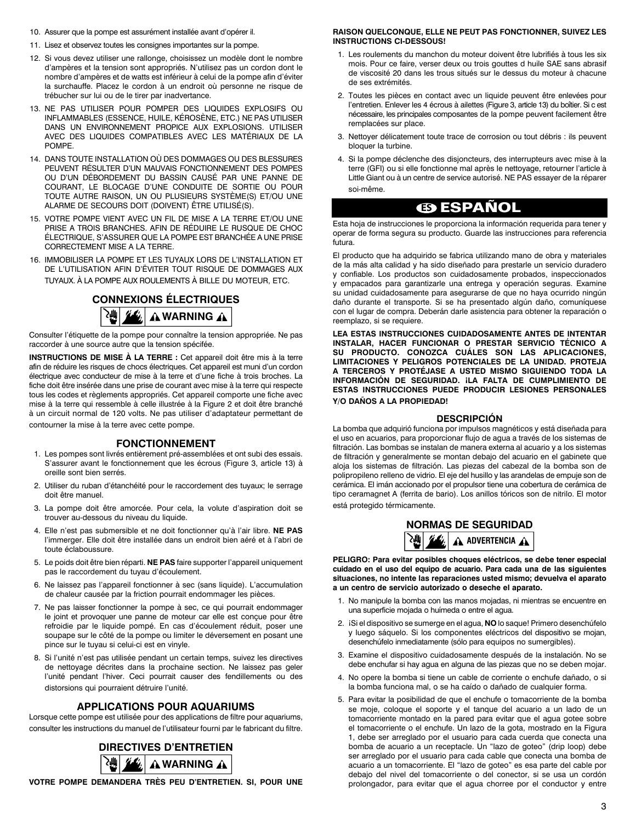- 10. Assurer que la pompe est assurément installée avant d'opérer il.
- 11. Lisez et observez toutes les consignes importantes sur la pompe.
- 12. Si vous devez utiliser une rallonge, choisissez un modèle dont le nombre d'ampères et la tension sont appropriés. N'utilisez pas un cordon dont le nombre d'ampères et de watts est inférieur à celui de la pompe afin d'éviter la surchauffe. Placez le cordon à un endroit où personne ne risque de trébucher sur lui ou de le tirer par inadvertance.
- 13. NE PAS UTILISER POUR POMPER DES LIQUIDES EXPLOSIFS OU INFLAMMABLES (ESSENCE, HUILE, KÉROSÈNE, ETC.) NE PAS UTILISER DANS UN ENVIRONNEMENT PROPICE AUX EXPLOSIONS. UTILISER AVEC DES LIQUIDES COMPATIBLES AVEC LES MATÉRIAUX DE LA POMPE.
- 14. Dans toute installation où des dommages ou des blessures peuvent résulter d'un mauvais fonctionnement des pompes ou d'un débordement du bassin causé par une panne de courant, le blocage d'une conduite de sortie ou pour toute autre raison, un ou plusieurs système(s) et/ou une alarme de secours doit (doivent) être utilisé(s).
- 15. VOTRE POMPE VIENT AVEC UN FIL DE MISE A LA TERRE ET/OU UNE PRISE A TROIS BRANCHES. AFIN DE RÉDUIRE LE RUSQUE DE CHOC ÉLECTRIQUE, S'ASSURER QUE LA POMPE EST BRANCHÉE A UNE PRISE CORRECTEMENT MISE A LA TERRE.
- 16. IMMOBILISER LA POMPE ET LES TUYAUX LORS DE L'INSTALLATION ET DE L'UTILISATION AFIN D'ËVITER TOUT RISQUE DE DOMMAGES AUX TUYAUX. À LA POMPE AUX ROULEMENTS À BILLE DU MOTEUR, ETC.

# **CONNEXIONS ÉLECTRIQUES** <sup>2</sup> 丝/ AWARNING A

Consulter l'étiquette de la pompe pour connaître la tension appropriée. Ne pas raccorder à une source autre que la tension spécifée.

**INSTRUCTIONS DE MISE À LA TERRE :** Cet appareil doit être mis à la terre afin de réduire les risques de chocs électriques. Cet appareil est muni d'un cordon électrique avec conducteur de mise à la terre et d'une fiche à trois broches. La fiche doit être insérée dans une prise de courant avec mise à la terre qui respecte tous les codes et règlements appropriés. Cet appareil comporte une fiche avec mise à la terre qui ressemble à celle illustrée à la Figure 2 et doit être branché à un circuit normal de 120 volts. Ne pas utiliser d'adaptateur permettant de contourner la mise à la terre avec cette pompe.

## **FONCTIONNEMENT**

- 1. Les pompes sont livrés entièrement pré-assemblées et ont subi des essais. S'assurer avant le fonctionnement que les écrous (Figure 3, article 13) à oreille sont bien serrés.
- 2. Utiliser du ruban d'étanchéité pour le raccordement des tuyaux; le serrage doit être manuel.
- 3. La pompe doit être amorcée. Pour cela, la volute d'aspiration doit se trouver au-dessous du niveau du liquide.
- 4. Elle n'est pas submersible et ne doit fonctionner qu'à l'air libre. **NE PAS** l'immerger. Elle doit être installée dans un endroit bien aéré et à l'abri de toute éclaboussure.
- 5. Le poids doit être bien réparti. **NE PAS** faire supporter l'appareil uniquement pas le raccordement du tuyau d'écoulement.
- 6. Ne laissez pas l'appareil fonctionner à sec (sans liquide). L'accumulation de chaleur causée par la friction pourrait endommager les pièces.
- 7. Ne pas laisser fonctionner la pompe à sec, ce qui pourrait endommager le joint et provoquer une panne de moteur car elle est conçue pour être refroidie par le liquide pompé. En cas d'écoulement réduit, poser une soupape sur le côté de la pompe ou limiter le déversement en posant une pince sur le tuyau si celui-ci est en vinyle.
- 8. Si l'unité n'est pas utilisée pendant un certain temps, suivez les directives de nettoyage décrites dans la prochaine section. Ne laissez pas geler l'unité pendant l'hiver. Ceci pourrait causer des fendillements ou des distorsions qui pourraient détruire l'unité.

## **Applications pour aquariums**

Lorsque cette pompe est utilisée pour des applications de filtre pour aquariums, consulter les instructions du manuel de l'utilisateur fourni par le fabricant du filtre.



**Votre pompe demandera très peu d'entretien. Si, pour une**

#### **raison quelconque, elle ne peut pas fonctionner, suivez les instructions ci-dessous!**

- 1. Les roulements du manchon du moteur doivent être lubrifiés à tous les six mois. Pour ce faire, verser deux ou trois gouttes d huile SAE sans abrasif de viscosité 20 dans les trous situés sur le dessus du moteur à chacune de ses extrémités.
- 2. Toutes les pièces en contact avec un liquide peuvent être enlevées pour l'entretien. Enlever les 4 écrous à ailettes (Figure 3, article 13) du boîtier. Si c est nécessaire, les principales composantes de la pompe peuvent facilement être remplacées sur place.
- 3. Nettoyer délicatement toute trace de corrosion ou tout débris : ils peuvent bloquer la turbine.
- 4. Si la pompe déclenche des disjoncteurs, des interrupteurs avec mise à la terre (GFI) ou si elle fonctionne mal après le nettoyage, retourner l'article à Little Giant ou à un centre de service autorisé. NE PAS essayer de la réparer soi-même.

# **ES ESPAÑOL**

Esta hoja de instrucciones le proporciona la información requerida para tener y operar de forma segura su producto. Guarde las instrucciones para referencia futura.

El producto que ha adquirido se fabrica utilizando mano de obra y materiales de la más alta calidad y ha sido diseñado para prestarle un servicio duradero y confiable. Los productos son cuidadosamente probados, inspeccionados y empacados para garantizarle una entrega y operación seguras. Examine su unidad cuidadosamente para asegurarse de que no haya ocurrido ningún daño durante el transporte. Si se ha presentado algún daño, comuníquese con el lugar de compra. Deberán darle asistencia para obtener la reparación o reemplazo, si se requiere.

**LEA ESTAS INSTRUCCIONES CUIDADOSAMENTE ANTES DE INTENTAR INSTALAR, HACER FUNCIONAR O PRESTAR SERVICIO TÉCNICO A SU PRODUCTO. CONOZCA CUÁLES SON LAS APLICACIONES, LIMITACIONES Y PELIGROS POTENCIALES DE LA UNIDAD. PROTEJA A TERCEROS Y PROTÉJASE A USTED MISMO SIGUIENDO TODA LA INFORMACIÓN DE SEGURIDAD. ¡LA FALTA DE CUMPLIMIENTO DE ESTAS INSTRUCCIONES PUEDE PRODUCIR LESIONES PERSONALES Y/O DAÑOS A LA PROPIEDAD!**

## **Descripción**

La bomba que adquirió funciona por impulsos magnéticos y está diseñada para el uso en acuarios, para proporcionar flujo de agua a través de los sistemas de filtración. Las bombas se instalan de manera externa al acuario y a los sistemas de filtración y generalmente se montan debajo del acuario en el gabinete que aloja los sistemas de filtración. Las piezas del cabezal de la bomba son de polipropileno relleno de vidrio. El eje del husillo y las arandelas de empuje son de cerámica. El imán accionado por el propulsor tiene una cobertura de cerámica de tipo ceramagnet A (ferrita de bario). Los anillos tóricos son de nitrilo. El motor está protegido térmicamente.

# **NORMAS DE SEGURIDAD A** ADVERTENCIA **A**

**PELIGRO: Para evitar posibles choques eléctricos, se debe tener especial cuidado en el uso del equipo de acuario. Para cada una de las siguientes situaciones, no intente las reparaciones usted mismo; devuelva el aparato a un centro de servicio autorizado o deseche el aparato.**

- 1. No manipule la bomba con las manos mojadas, ni mientras se encuentre en una superficie mojada o huímeda o entre el agua.
- 2. ¡Si el dispositivo se sumerge en el agua, NO lo saque! Primero desenchúfelo y luego sáquelo. Si los componentes eléctricos del dispositivo se mojan, desenchúfelo inmediatamente (sólo para equipos no sumergibles).
- 3. Examine el dispositivo cuidadosamente después de la instalación. No se debe enchufar si hay agua en alguna de las piezas que no se deben mojar.
- 4. No opere la bomba si tiene un cable de corriente o enchufe dañado, o si la bomba funciona mal, o se ha caído o dañado de cualquier forma.
- 5. Para evitar la posibilidad de que el enchufe o tomacorriente de la bomba se moje, coloque el soporte y el tanque del acuario a un lado de un tomacorriente montado en la pared para evitar que el agua gotee sobre el tomacorriente o el enchufe. Un lazo de la gota, mostrado en la Figura 1, debe ser arreglado por el usuario para cada cuerda que conecta una bomba de acuario a un receptacle. Un "lazo de goteo" (drip loop) debe ser arreglado por el usuario para cada cable que conecta una bomba de acuario a un tomacorriente. El "lazo de goteo" es esa parte del cable por debajo del nivel del tomacorriente o del conector, si se usa un cordón prolongador, para evitar que el agua chorree por el conductor y entre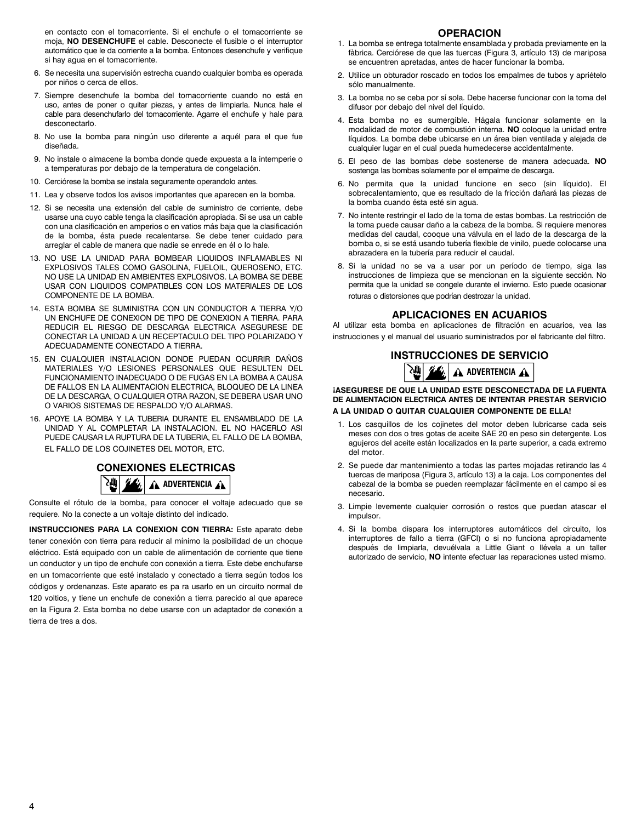en contacto con el tomacorriente. Si el enchufe o el tomacorriente se moja, **NO DESENCHUFE** el cable. Desconecte el fusible o el interruptor automático que le da corriente a la bomba. Entonces desenchufe y verifique si hay agua en el tomacorriente.

- 6. Se necesita una supervisión estrecha cuando cualquier bomba es operada por niños o cerca de ellos.
- 7. Siempre desenchufe la bomba del tomacorriente cuando no está en uso, antes de poner o quitar piezas, y antes de limpiarla. Nunca hale el cable para desenchufarlo del tomacorriente. Agarre el enchufe y hale para desconectarlo.
- 8. No use la bomba para ningún uso diferente a aquél para el que fue diseñada.
- 9. No instale o almacene la bomba donde quede expuesta a la intemperie o a temperaturas por debajo de la temperatura de congelación.
- 10. Cerciórese la bomba se instala seguramente operandolo antes.
- 11. Lea y observe todos los avisos importantes que aparecen en la bomba.
- 12. Si se necesita una extensión del cable de suministro de corriente, debe usarse una cuyo cable tenga la clasificación apropiada. Si se usa un cable con una clasificación en amperios o en vatios más baja que la clasificación de la bomba, ésta puede recalentarse. Se debe tener cuidado para arreglar el cable de manera que nadie se enrede en él o lo hale.
- 13. NO USE LA UNIDAD PARA BOMBEAR LIQUIDOS INFLAMABLES NI EXPLOSIVOS TALES COMO GASOLINA, FUELOIL, QUEROSENO, ETC. NO USE LA UNIDAD EN AMBIENTES EXPLOSIVOS. LA BOMBA SE DEBE USAR CON LIQUIDOS COMPATIBLES CON LOS MATERIALES DE LOS COMPONENTE DE LA BOMBA.
- 14. ESTA BOMBA SE SUMINISTRA CON UN CONDUCTOR A TIERRA Y/O UN ENCHUFE DE CONEXION DE TIPO DE CONEXION A TIERRA. PARA REDUCIR EL RIESGO DE DESCARGA ELECTRICA ASEGURESE DE CONECTAR LA UNIDAD A UN RECEPTACULO DEL TIPO POLARIZADO Y ADECUADAMENTE CONECTADO A TIERRA.
- 15. EN CUALQUIER INSTALACION DONDE PUEDAN OCURRIR DAÑOS MATERIALES Y/O LESIONES PERSONALES QUE RESULTEN DEL FUNCIONAMIENTO INADECUADO O DE FUGAS EN LA BOMBA A CAUSA DE FALLOS EN LA ALIMENTACION ELECTRICA, BLOQUEO DE LA LINEA DE LA DESCARGA, O CUALQUIER OTRA RAZON, SE DEBERA USAR UNO O VARIOS SISTEMAS DE RESPALDO Y/O ALARMAS.
- 16. APOYE LA BOMBA Y LA TUBERIA DURANTE EL ENSAMBLADO DE LA UNIDAD Y AL COMPLETAR LA INSTALACION. EL NO HACERLO ASI PUEDE CAUSAR LA RUPTURA DE LA TUBERIA, EL FALLO DE LA BOMBA, EL FALLO DE LOS COJINETES DEL MOTOR, ETC.

**CONEXIONES ELECTRICAS A** ADVERTENCIA **A** 

Consulte el rótulo de la bomba, para conocer el voltaje adecuado que se requiere. No la conecte a un voltaje distinto del indicado.

**INSTRUCCIONES PARA LA CONEXION CON TIERRA:** Este aparato debe tener conexión con tierra para reducir al mínimo la posibilidad de un choque eléctrico. Está equipado con un cable de alimentación de corriente que tiene un conductor y un tipo de enchufe con conexión a tierra. Este debe enchufarse en un tomacorriente que esté instalado y conectado a tierra según todos los códigos y ordenanzas. Este aparato es pa ra usarlo en un circuito normal de 120 voltios, y tiene un enchufe de conexión a tierra parecido al que aparece en la Figura 2. Esta bomba no debe usarse con un adaptador de conexión a tierra de tres a dos.

## **OPERACION**

- 1. La bomba se entrega totalmente ensamblada y probada previamente en la fàbrica. Cerciórese de que las tuercas (Figura 3, artículo 13) de mariposa se encuentren apretadas, antes de hacer funcionar la bomba.
- 2. Utilice un obturador roscado en todos los empalmes de tubos y apriételo sólo manualmente.
- 3. La bomba no se ceba por sí sola. Debe hacerse funcionar con la toma del difusor por debajo del nivel del líquido.
- 4. Esta bomba no es sumergible. Hágala funcionar solamente en la modalidad de motor de combustión interna. **NO** coloque la unidad entre líquidos. La bomba debe ubicarse en un área bien ventilada y alejada de cualquier lugar en el cual pueda humedecerse accidentalmente.
- 5. El peso de las bombas debe sostenerse de manera adecuada. **NO** sostenga las bombas solamente por el empalme de descarga.
- 6. No permita que la unidad funcione en seco (sin líquido). El sobrecalentamiento, que es resultado de la fricción dañará las piezas de la bomba cuando ésta esté sin agua.
- 7. No intente restringir el lado de la toma de estas bombas. La restricción de la toma puede causar daño a la cabeza de la bomba. Si requiere menores medidas del caudal, cooque una válvula en el lado de la descarga de la bomba o, si se está usando tubería flexible de vinilo, puede colocarse una abrazadera en la tubería para reducir el caudal.
- 8. Si la unidad no se va a usar por un período de tiempo, siga las instrucciones de limpieza que se mencionan en la siguiente sección. No permita que la unidad se congele durante el invierno. Esto puede ocasionar roturas o distorsiones que podrían destrozar la unidad.

## **Aplicaciones en acuarios**

Al utilizar esta bomba en aplicaciones de filtración en acuarios, vea las instrucciones y el manual del usuario suministrados por el fabricante del filtro.

# **INSTRUCCIONES DE SERVICIO**



### **¡Asegurese de que la unidad este desconectada de la fuenta de alimentacion electrica antes de intentar prestar servicio a la unidad o quitar cualquier componente de ella!**

- 1. Los casquillos de los cojinetes del motor deben lubricarse cada seis meses con dos o tres gotas de aceite SAE 20 en peso sin detergente. Los agujeros del aceite están localizados en la parte superior, a cada extremo del motor.
- 2. Se puede dar mantenimiento a todas las partes mojadas retirando las 4 tuercas de mariposa (Figura 3, artículo 13) a la caja. Los componentes del cabezal de la bomba se pueden reemplazar fácilmente en el campo si es necesario.
- 3. Limpie levemente cualquier corrosión o restos que puedan atascar el impulsor.
- 4. Si la bomba dispara los interruptores automáticos del circuito, los interruptores de fallo a tierra (GFCI) o si no funciona apropiadamente después de limpiarla, devuélvala a Little Giant o llévela a un taller autorizado de servicio, **NO** intente efectuar las reparaciones usted mismo.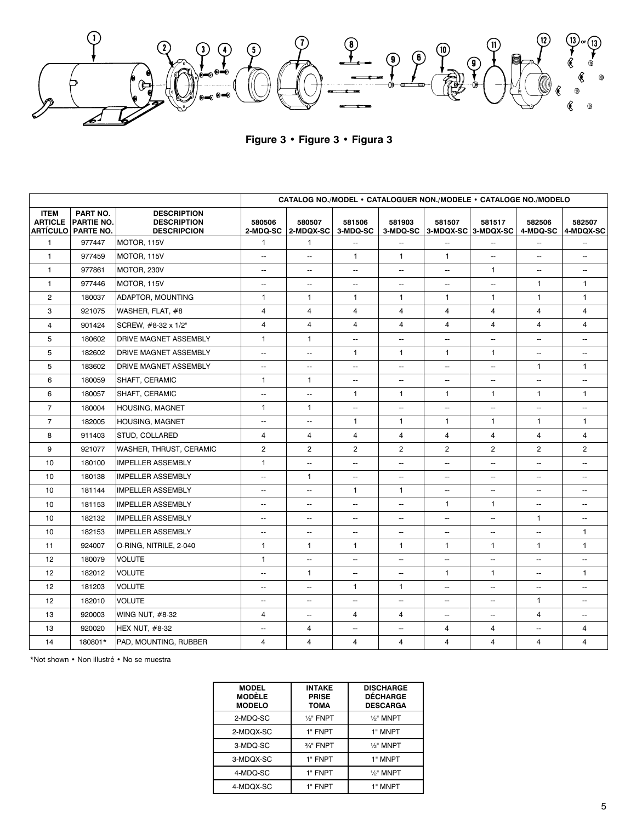$$
\int_{\mathcal{L}} \frac{1}{\sqrt{1-\frac{1}{\sqrt{1-\frac{1}{\sqrt{1-\frac{1}{\sqrt{1-\frac{1}{\sqrt{1-\frac{1}{\sqrt{1-\frac{1}{\sqrt{1-\frac{1}{\sqrt{1-\frac{1}{\sqrt{1-\frac{1}{\sqrt{1-\frac{1}{\sqrt{1-\frac{1}{\sqrt{1-\frac{1}{\sqrt{1-\frac{1}{\sqrt{1-\frac{1}{\sqrt{1-\frac{1}{\sqrt{1-\frac{1}{\sqrt{1-\frac{1}{\sqrt{1-\frac{1}{\sqrt{1-\frac{1}{\sqrt{1-\frac{1}{\sqrt{1-\frac{1}{\sqrt{1-\frac{1}{\sqrt{1-\frac{1}{\sqrt{1-\frac{1}{\sqrt{1-\frac{1}{\sqrt{1-\frac{1}{\sqrt{1-\frac{1}{\sqrt{1-\frac{1}{\sqrt{1-\frac{1}{\sqrt{1-\frac{1}{\sqrt{1-\frac{1}{\sqrt{1-\frac{1}{\sqrt{1-\frac{1}{\sqrt{1-\frac{1}{\sqrt{1-\frac{1}{\sqrt{1-\frac{1}{\sqrt{1-\frac{1}{\sqrt{1-\frac{1}{\sqrt{1-\frac{1}{\sqrt{1-\frac{1}{\sqrt{1-\frac{1}{\sqrt{1-\frac{1}{\sqrt{1-\frac{1}{\sqrt{1-\frac{1}{\sqrt{1-\frac{1}{\sqrt{1-\frac{1}{\sqrt{1-\frac{1}{\sqrt{1-\frac{1}{\sqrt{1-\frac{1}{\sqrt{1-\frac{1}{\sqrt{1-\frac{1}{\sqrt{1-\frac{1}{\sqrt{1-\frac{1}{\sqrt{1-\frac{1}{\sqrt{1-\frac{1}{\sqrt{1-\frac{1}{\sqrt{1-\frac{1}{\sqrt{1-\frac{1}{\sqrt{1-\frac{1}{\sqrt{1-\frac{1}{\sqrt{1-\frac{1}{\sqrt{1-\frac{1}{\sqrt{1-\frac{1}{\sqrt{1-\frac{1}{\sqrt{1-\frac{1}{\sqrt{1-\frac{1}{\sqrt{1-\frac{1}{\sqrt{1-\frac{1}{\sqrt{1-\frac{1}{\sqrt{1-\frac{1}{\sqrt{1-\frac{1}{\sqrt{1-\frac{1}{\sqrt{1-\frac{1}{\sqrt{1-\frac{1}{\sqrt{1-\frac{1}{\sqrt{1-\frac{1}{\sqrt{1-\frac{1}{\sqrt{1-\frac{1}{\sqrt{1-\frac{1}{\sqrt{1-\frac{1}{\sqrt{1 -\frac{1}{\sqrt{1 -\frac{1}{\sqrt{1 -\
$$

**Figure 3 • Figure 3 • Figura 3**

|                                                  |                                                   |                                                                | CATALOG NO./MODEL • CATALOGUER NON./MODELE • CATALOGE NO./MODELO |                          |                          |                          |                                        |                          |                          |                          |
|--------------------------------------------------|---------------------------------------------------|----------------------------------------------------------------|------------------------------------------------------------------|--------------------------|--------------------------|--------------------------|----------------------------------------|--------------------------|--------------------------|--------------------------|
| <b>ITEM</b><br><b>ARTICLE</b><br><b>ARTÍCULO</b> | PART NO.<br><b>PARTIE NO.</b><br><b>PARTE NO.</b> | <b>DESCRIPTION</b><br><b>DESCRIPTION</b><br><b>DESCRIPCION</b> | 580506<br>2-MDQ-SC                                               | 580507<br>$ 2-MDQX-SC $  | 581506<br>3-MDQ-SC       | 581903                   | 581507<br>3-MDQ-SC 3-MDQX-SC 3-MDQX-SC | 581517                   | 582506<br>4-MDQ-SC       | 582507<br>4-MDQX-SC      |
| $\mathbf{1}$                                     | 977447                                            | MOTOR, 115V                                                    | $\mathbf{1}$                                                     | $\mathbf{1}$             | --                       | $\overline{\phantom{a}}$ | $\overline{\phantom{a}}$               | $\overline{\phantom{a}}$ | $\overline{\phantom{a}}$ |                          |
| $\mathbf{1}$                                     | 977459                                            | MOTOR, 115V                                                    | $\overline{\phantom{a}}$                                         | --                       | $\mathbf{1}$             | $\mathbf{1}$             | $\mathbf{1}$                           | $\overline{\phantom{a}}$ | $\overline{\phantom{a}}$ | $\overline{a}$           |
| $\mathbf{1}$                                     | 977861                                            | MOTOR, 230V                                                    | $\overline{\phantom{a}}$                                         | --                       | --                       | $\overline{\phantom{a}}$ | $\overline{\phantom{a}}$               | $\mathbf{1}$             | $\overline{\phantom{a}}$ | --                       |
| 1                                                | 977446                                            | MOTOR, 115V                                                    | $\frac{1}{2}$                                                    | --                       | -                        | --                       | $\overline{\phantom{a}}$               | ۰.                       | $\mathbf{1}$             | $\mathbf{1}$             |
| $\overline{2}$                                   | 180037                                            | ADAPTOR, MOUNTING                                              | $\mathbf{1}$                                                     | $\mathbf{1}$             | $\mathbf{1}$             | $\mathbf{1}$             | $\mathbf{1}$                           | $\mathbf{1}$             | $\mathbf{1}$             | $\mathbf{1}$             |
| 3                                                | 921075                                            | WASHER, FLAT, #8                                               | $\overline{4}$                                                   | 4                        | 4                        | 4                        | $\overline{4}$                         | 4                        | $\overline{4}$           | $\overline{4}$           |
| $\overline{4}$                                   | 901424                                            | SCREW, #8-32 x 1/2"                                            | $\overline{4}$                                                   | 4                        | $\overline{4}$           | $\overline{4}$           | $\overline{4}$                         | $\overline{4}$           | $\overline{4}$           | $\overline{4}$           |
| 5                                                | 180602                                            | <b>IDRIVE MAGNET ASSEMBLY</b>                                  | $\mathbf{1}$                                                     | $\mathbf{1}$             | $\overline{\phantom{a}}$ | $\overline{\phantom{a}}$ | $\overline{\phantom{a}}$               | $\overline{\phantom{a}}$ | $\overline{\phantom{a}}$ | --                       |
| 5                                                | 182602                                            | <b>DRIVE MAGNET ASSEMBLY</b>                                   | $\cdots$                                                         | --                       | $\mathbf{1}$             | $\mathbf{1}$             | $\mathbf{1}$                           | $\mathbf{1}$             | $\overline{\phantom{a}}$ | --                       |
| 5                                                | 183602                                            | <b>DRIVE MAGNET ASSEMBLY</b>                                   | $\overline{\phantom{a}}$                                         | --                       | $\overline{a}$           | $\overline{\phantom{a}}$ | Щ.                                     | $\overline{\phantom{a}}$ | $\mathbf{1}$             | $\mathbf{1}$             |
| 6                                                | 180059                                            | <b>SHAFT, CERAMIC</b>                                          | $\mathbf{1}$                                                     | $\mathbf{1}$             | $\overline{\phantom{a}}$ | $\overline{\phantom{a}}$ | $\overline{\phantom{0}}$               | $\overline{\phantom{a}}$ | $\overline{\phantom{a}}$ | ш.                       |
| 6                                                | 180057                                            | SHAFT, CERAMIC                                                 | $\overline{\phantom{a}}$                                         | Ξ.                       | $\mathbf{1}$             | $\mathbf{1}$             | $\mathbf{1}$                           | $\mathbf{1}$             | $\mathbf{1}$             | $\mathbf{1}$             |
| $\overline{7}$                                   | 180004                                            | HOUSING, MAGNET                                                | $\mathbf{1}$                                                     | $\mathbf{1}$             | $\overline{\phantom{a}}$ | $\overline{\phantom{a}}$ | ω.                                     | $\overline{\phantom{a}}$ | $\sim$                   | ш.                       |
| $\overline{7}$                                   | 182005                                            | <b>HOUSING, MAGNET</b>                                         | $\overline{\phantom{a}}$                                         | --                       | $\mathbf{1}$             | $\mathbf{1}$             | $\mathbf{1}$                           | $\mathbf{1}$             | $\mathbf{1}$             | $\mathbf{1}$             |
| 8                                                | 911403                                            | <b>STUD, COLLARED</b>                                          | $\overline{4}$                                                   | $\overline{4}$           | 4                        | 4                        | $\overline{4}$                         | 4                        | $\overline{4}$           | $\overline{4}$           |
| 9                                                | 921077                                            | WASHER, THRUST, CERAMIC                                        | $\overline{2}$                                                   | $\mathbf{2}$             | $\overline{2}$           | $\overline{2}$           | $\overline{c}$                         | $\overline{2}$           | $\overline{2}$           | $\overline{2}$           |
| 10                                               | 180100                                            | <b>IMPELLER ASSEMBLY</b>                                       | $\mathbf{1}$                                                     | --                       | $\overline{\phantom{a}}$ | $\overline{\phantom{a}}$ | $\overline{\phantom{a}}$               | $\overline{\phantom{a}}$ | $\overline{\phantom{a}}$ | --                       |
| 10                                               | 180138                                            | <b>IMPELLER ASSEMBLY</b>                                       | $\overline{\phantom{a}}$                                         | $\mathbf{1}$             | --                       | --                       | --                                     | $\overline{a}$           | $\overline{\phantom{a}}$ | --                       |
| 10                                               | 181144                                            | <b>IMPELLER ASSEMBLY</b>                                       | $\cdots$                                                         | --                       | $\mathbf{1}$             | $\mathbf{1}$             | --                                     | $\overline{\phantom{a}}$ | $\overline{\phantom{a}}$ | --                       |
| 10                                               | 181153                                            | <b>IMPELLER ASSEMBLY</b>                                       | $\overline{\phantom{a}}$                                         | $\overline{\phantom{a}}$ | $\overline{\phantom{a}}$ | $\overline{\phantom{a}}$ | $\mathbf{1}$                           | $\mathbf{1}$             | $\overline{\phantom{a}}$ | --                       |
| 10                                               | 182132                                            | <b>IMPELLER ASSEMBLY</b>                                       | $\overline{\phantom{a}}$                                         | --                       | $\overline{\phantom{a}}$ | $\overline{\phantom{m}}$ | $\overline{\phantom{a}}$               | $\overline{\phantom{a}}$ | $\mathbf{1}$             | --                       |
| 10                                               | 182153                                            | <b>IMPELLER ASSEMBLY</b>                                       | $\overline{\phantom{a}}$                                         | --                       | $\overline{\phantom{a}}$ | $\overline{\phantom{a}}$ | $\overline{a}$                         | $\overline{\phantom{a}}$ | $\overline{\phantom{a}}$ | $\mathbf{1}$             |
| 11                                               | 924007                                            | O-RING, NITRILE, 2-040                                         | $\mathbf{1}$                                                     | $\mathbf{1}$             | 1                        | $\mathbf{1}$             | 1                                      | $\mathbf{1}$             | $\mathbf{1}$             | $\mathbf{1}$             |
| 12                                               | 180079                                            | <b>VOLUTE</b>                                                  | $\mathbf{1}$                                                     | --                       | ۰.                       | $\qquad \qquad -$        | $\qquad \qquad -$                      | $\overline{\phantom{a}}$ | $\cdots$                 | --                       |
| 12                                               | 182012                                            | VOLUTE                                                         | $\overline{\phantom{a}}$                                         | $\mathbf{1}$             | -                        | $\overline{\phantom{a}}$ | $\mathbf{1}$                           | $\mathbf{1}$             | $\overline{\phantom{a}}$ | $\mathbf{1}$             |
| 12                                               | 181203                                            | VOLUTE                                                         | $\overline{\phantom{a}}$                                         | --                       | $\mathbf{1}$             | $\mathbf{1}$             | $\overline{\phantom{a}}$               | $\overline{\phantom{a}}$ | $\overline{\phantom{a}}$ | --                       |
| 12                                               | 182010                                            | <b>VOLUTE</b>                                                  | $\qquad \qquad -$                                                | --                       | $\frac{1}{2}$            | $\overline{\phantom{a}}$ | --                                     | $\overline{\phantom{a}}$ | $\mathbf{1}$             | --                       |
| 13                                               | 920003                                            | WING NUT, #8-32                                                | 4                                                                | --                       | 4                        | 4                        | $\overline{\phantom{a}}$               | $\overline{\phantom{a}}$ | $\overline{4}$           | $\overline{\phantom{a}}$ |
| 13                                               | 920020                                            | <b>HEX NUT, #8-32</b>                                          | $\overline{\phantom{a}}$                                         | $\overline{4}$           | $\overline{\phantom{a}}$ | $\overline{\phantom{a}}$ | $\overline{4}$                         | $\overline{4}$           | $\overline{\phantom{a}}$ | $\overline{4}$           |
| 14                                               | 180801*                                           | PAD, MOUNTING, RUBBER                                          | $\overline{4}$                                                   | 4                        | $\overline{4}$           | $\overline{4}$           | 4                                      | $\overline{4}$           | $\overline{4}$           | $\overline{4}$           |

\*Not shown • Non illustré • No se muestra

| <b>MODEL</b><br><b>MODÈLE</b><br><b>MODELO</b> | <b>INTAKE</b><br><b>PRISE</b><br><b>TOMA</b> | <b>DISCHARGE</b><br><b>DÉCHARGE</b><br><b>DESCARGA</b> |
|------------------------------------------------|----------------------------------------------|--------------------------------------------------------|
| 2-MDQ-SC                                       | $1/2$ " FNPT                                 | $1/2$ " MNPT                                           |
| 2-MDQX-SC                                      | 1" FNPT                                      | 1" MNPT                                                |
| 3-MDQ-SC                                       | 3/4" FNPT                                    | 1/ <sub>2</sub> " MNPT                                 |
| 3-MDQX-SC                                      | 1" FNPT                                      | 1" MNPT                                                |
| 4-MDQ-SC                                       | 1" FNPT                                      | 1/ <sub>2</sub> " MNPT                                 |
| 4-MDQX-SC                                      | 1" FNPT                                      | 1" MNPT                                                |
|                                                |                                              |                                                        |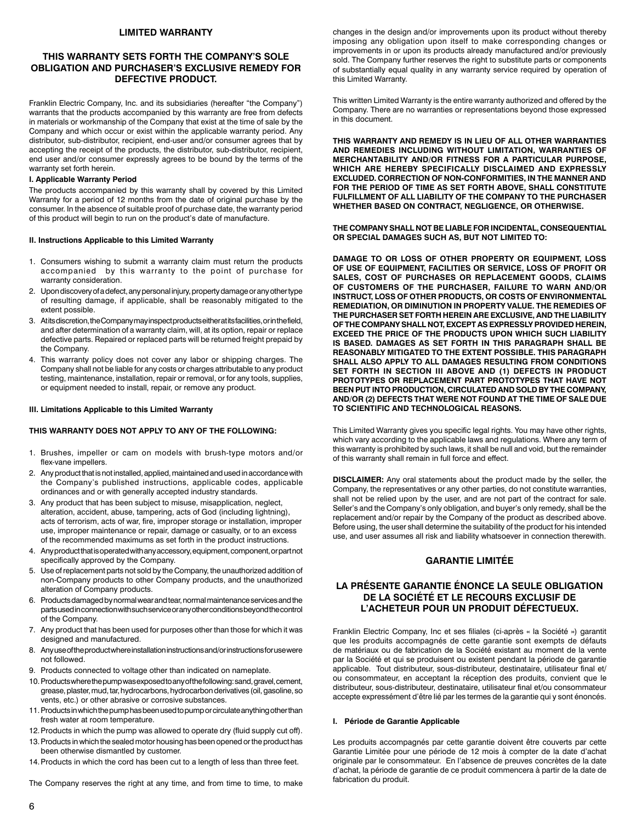## **LIMITED WARRANTY**

## **THIS WARRANTY SETS FORTH THE COMPANY'S SOLE OBLIGATION AND PURCHASER'S EXCLUSIVE REMEDY FOR DEFECTIVE PRODUCT.**

Franklin Electric Company, Inc. and its subsidiaries (hereafter "the Company") warrants that the products accompanied by this warranty are free from defects in materials or workmanship of the Company that exist at the time of sale by the Company and which occur or exist within the applicable warranty period. Any distributor, sub-distributor, recipient, end-user and/or consumer agrees that by accepting the receipt of the products, the distributor, sub-distributor, recipient, end user and/or consumer expressly agrees to be bound by the terms of the warranty set forth herein.

#### **I. Applicable Warranty Period**

The products accompanied by this warranty shall by covered by this Limited Warranty for a period of 12 months from the date of original purchase by the consumer. In the absence of suitable proof of purchase date, the warranty period of this product will begin to run on the product's date of manufacture.

#### **II. Instructions Applicable to this Limited Warranty**

- 1. Consumers wishing to submit a warranty claim must return the products accompanied by this warranty to the point of purchase for warranty consideration.
- 2. Upon discovery of a defect, any personal injury, property damage or any other type of resulting damage, if applicable, shall be reasonably mitigated to the extent possible.
- 3. At its discretion, the Company may inspect products either at its facilities, or in the field, and after determination of a warranty claim, will, at its option, repair or replace defective parts. Repaired or replaced parts will be returned freight prepaid by the Company.
- 4. This warranty policy does not cover any labor or shipping charges. The Company shall not be liable for any costs or charges attributable to any product testing, maintenance, installation, repair or removal, or for any tools, supplies, or equipment needed to install, repair, or remove any product.

#### **III. Limitations Applicable to this Limited Warranty**

#### **THIS WARRANTY DOES NOT APPLY TO ANY OF THE FOLLOWING:**

- 1. Brushes, impeller or cam on models with brush-type motors and/or flex-vane impellers.
- 2. Any product that is not installed, applied, maintained and used in accordance with the Company's published instructions, applicable codes, applicable ordinances and or with generally accepted industry standards.
- 3. Any product that has been subject to misuse, misapplication, neglect, alteration, accident, abuse, tampering, acts of God (including lightning), acts of terrorism, acts of war, fire, improper storage or installation, improper use, improper maintenance or repair, damage or casualty, or to an excess of the recommended maximums as set forth in the product instructions.
- 4. Any product that is operated with any accessory, equipment, component, or part not specifically approved by the Company.
- 5. Use of replacement parts not sold by the Company, the unauthorized addition of non-Company products to other Company products, and the unauthorized alteration of Company products.
- 6. Products damaged by normal wear and tear, normal maintenance services and the parts used in connection with such service or any other conditions beyond the control of the Company.
- 7. Any product that has been used for purposes other than those for which it was designed and manufactured.
- 8. Any use of the product where installation instructions and/or instructions for use were not followed.
- 9. Products connected to voltage other than indicated on nameplate.
- 10.Products where the pump was exposed to any of the following: sand, gravel, cement, grease, plaster, mud, tar, hydrocarbons, hydrocarbon derivatives (oil, gasoline, so vents, etc.) or other abrasive or corrosive substances.
- 11.Products in which the pump has been used to pump or circulate anything other than fresh water at room temperature.
- 12. Products in which the pump was allowed to operate dry (fluid supply cut off).
- 13.Products in which the sealed motor housing has been opened or the product has been otherwise dismantled by customer.

14.Products in which the cord has been cut to a length of less than three feet.

The Company reserves the right at any time, and from time to time, to make

changes in the design and/or improvements upon its product without thereby imposing any obligation upon itself to make corresponding changes or improvements in or upon its products already manufactured and/or previously sold. The Company further reserves the right to substitute parts or components of substantially equal quality in any warranty service required by operation of this Limited Warranty.

This written Limited Warranty is the entire warranty authorized and offered by the Company. There are no warranties or representations beyond those expressed in this document.

**THIS WARRANTY AND REMEDY IS IN LIEU OF ALL OTHER WARRANTIES AND REMEDIES INCLUDING WITHOUT LIMITATION, WARRANTIES OF MERCHANTABILITY AND/OR FITNESS FOR A PARTICULAR PURPOSE, WHICH ARE HEREBY SPECIFICALLY DISCLAIMED AND EXPRESSLY EXCLUDED. CORRECTION OF NON-CONFORMITIES, IN THE MANNER AND FOR THE PERIOD OF TIME AS SET FORTH ABOVE, SHALL CONSTITUTE FULFILLMENT OF ALL LIABILITY OF THE COMPANY TO THE PURCHASER WHETHER BASED ON CONTRACT, NEGLIGENCE, OR OTHERWISE.**

**THE COMPANY SHALL NOT BE LIABLE FOR INCIDENTAL, CONSEQUENTIAL OR SPECIAL DAMAGES SUCH AS, BUT NOT LIMITED TO:**

**DAMAGE TO OR LOSS OF OTHER PROPERTY OR EQUIPMENT, LOSS OF USE OF EQUIPMENT, FACILITIES OR SERVICE, LOSS OF PROFIT OR SALES, COST OF PURCHASES OR REPLACEMENT GOODS, CLAIMS OF CUSTOMERS OF THE PURCHASER, FAILURE TO WARN AND/OR INSTRUCT, LOSS OF OTHER PRODUCTS, OR COSTS OF ENVIRONMENTAL REMEDIATION, OR DIMINUTION IN PROPERTY VALUE. THE REMEDIES OF THE PURCHASER SET FORTH HEREIN ARE EXCLUSIVE, AND THE LIABILITY OF THE COMPANY SHALL NOT, EXCEPT AS EXPRESSLY PROVIDED HEREIN, EXCEED THE PRICE OF THE PRODUCTS UPON WHICH SUCH LIABILITY IS BASED. DAMAGES AS SET FORTH IN THIS PARAGRAPH SHALL BE REASONABLY MITIGATED TO THE EXTENT POSSIBLE. THIS PARAGRAPH SHALL ALSO APPLY TO ALL DAMAGES RESULTING FROM CONDITIONS SET FORTH IN SECTION III ABOVE AND (1) DEFECTS IN PRODUCT PROTOTYPES OR REPLACEMENT PART PROTOTYPES THAT HAVE NOT BEEN PUT INTO PRODUCTION, CIRCULATED AND SOLD BY THE COMPANY, AND/OR (2) DEFECTS THAT WERE NOT FOUND AT THE TIME OF SALE DUE TO SCIENTIFIC AND TECHNOLOGICAL REASONS.**

This Limited Warranty gives you specific legal rights. You may have other rights, which vary according to the applicable laws and regulations. Where any term of this warranty is prohibited by such laws, it shall be null and void, but the remainder of this warranty shall remain in full force and effect.

**DISCLAIMER:** Any oral statements about the product made by the seller, the Company, the representatives or any other parties, do not constitute warranties, shall not be relied upon by the user, and are not part of the contract for sale. Seller's and the Company's only obligation, and buyer's only remedy, shall be the replacement and/or repair by the Company of the product as described above. Before using, the user shall determine the suitability of the product for his intended use, and user assumes all risk and liability whatsoever in connection therewith.

## **GARANTIE LIMITÉE**

## **LA PRÉSENTE GARANTIE ÉNONCE LA SEULE OBLIGATION DE LA SOCIÉTÉ ET LE RECOURS EXCLUSIF DE L'ACHETEUR POUR UN PRODUIT DÉFECTUEUX.**

Franklin Electric Company, Inc et ses filiales (ci-après « la Société ») garantit que les produits accompagnés de cette garantie sont exempts de défauts de matériaux ou de fabrication de la Société existant au moment de la vente par la Société et qui se produisent ou existent pendant la période de garantie applicable. Tout distributeur, sous-distributeur, destinataire, utilisateur final et/ ou consommateur, en acceptant la réception des produits, convient que le distributeur, sous-distributeur, destinataire, utilisateur final et/ou consommateur accepte expressément d'être lié par les termes de la garantie qui y sont énoncés.

#### **I. Période de Garantie Applicable**

Les produits accompagnés par cette garantie doivent être couverts par cette Garantie Limitée pour une période de 12 mois à compter de la date d'achat originale par le consommateur. En l'absence de preuves concrètes de la date d'achat, la période de garantie de ce produit commencera à partir de la date de fabrication du produit.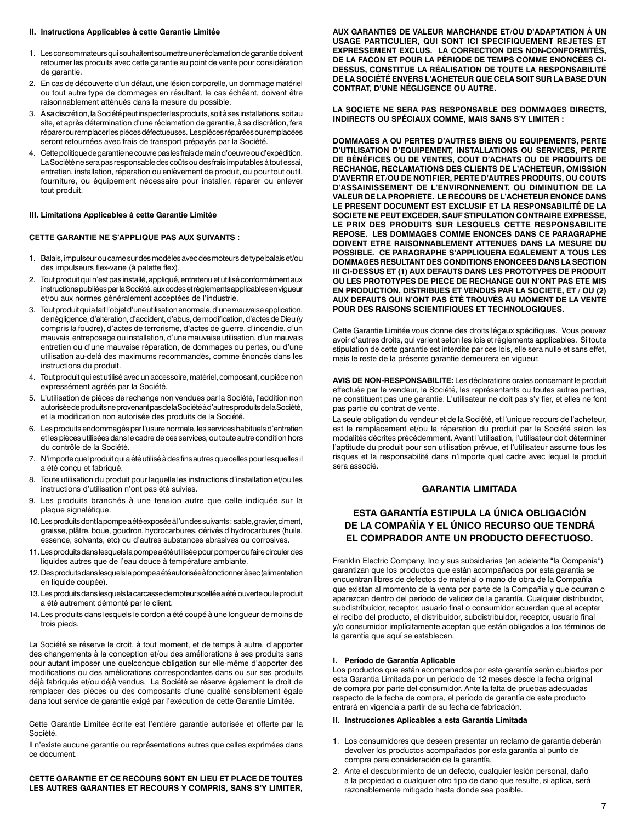#### **II. Instructions Applicables à cette Garantie Limitée**

- 1. Les consommateurs qui souhaitent soumettre une réclamation de garantie doivent retourner les produits avec cette garantie au point de vente pour considération de garantie.
- 2. En cas de découverte d'un défaut, une lésion corporelle, un dommage matériel ou tout autre type de dommages en résultant, le cas échéant, doivent être raisonnablement atténués dans la mesure du possible.
- 3. À sa discrétion, la Société peut inspecter les produits, soit à ses installations, soit au site, et après détermination d'une réclamation de garantie, à sa discrétion, fera réparer ou remplacer les pièces défectueuses. Les pièces réparées ou remplacées seront retournées avec frais de transport prépayés par la Société.
- 4. Cette politique de garantie ne couvre pas les frais de main d'oeuvre ou d'expédition. La Société ne sera pas responsable des coûts ou des frais imputables à tout essai, entretien, installation, réparation ou enlèvement de produit, ou pour tout outil, fourniture, ou équipement nécessaire pour installer, réparer ou enlever tout produit.

#### **III. Limitations Applicables à cette Garantie Limitée**

#### **CETTE GARANTIE NE S'APPLIQUE PAS AUX SUIVANTS :**

- 1. Balais, impulseur ou came sur des modèles avec des moteurs de type balais et/ou des impulseurs flex-vane (à palette flex).
- 2. Tout produit qui n'est pas installé, appliqué, entretenu et utilisé conformément aux instructions publiées par la Société, aux codes et règlements applicables en vigueur et/ou aux normes généralement acceptées de l'industrie.
- 3. Tout produit qui a fait l'objet d'une utilisation anormale, d'une mauvaise application, de négligence, d'altération, d'accident, d'abus, de modification, d'actes de Dieu (y compris la foudre), d'actes de terrorisme, d'actes de guerre, d'incendie, d'un mauvais entreposage ou installation, d'une mauvaise utilisation, d'un mauvais entretien ou d'une mauvaise réparation, de dommages ou pertes, ou d'une utilisation au-delà des maximums recommandés, comme énoncés dans les instructions du produit.
- 4. Tout produit qui est utilisé avec un accessoire, matériel, composant, ou pièce non expressément agréés par la Société.
- 5. L'utilisation de pièces de rechange non vendues par la Société, l'addition non autorisée de produits ne provenant pas de la Société à d'autres produits de la Société, et la modification non autorisée des produits de la Société.
- 6. Les produits endommagés par l'usure normale, les services habituels d'entretien et les pièces utilisées dans le cadre de ces services, ou toute autre condition hors du contrôle de la Société.
- 7. N'importe quel produit qui a été utilisé à des fins autres que celles pour lesquelles il a été conçu et fabriqué.
- 8. Toute utilisation du produit pour laquelle les instructions d'installation et/ou les instructions d'utilisation n'ont pas été suivies.
- 9. Les produits branchés à une tension autre que celle indiquée sur la plaque signalétique.
- 10.Les produits dont la pompe a été exposée à l'un des suivants : sable, gravier, ciment, graisse, plâtre, boue, goudron, hydrocarbures, dérivés d'hydrocarbures (huile, essence, solvants, etc) ou d'autres substances abrasives ou corrosives.
- 11.Les produits dans lesquels la pompe a été utilisée pour pomper ou faire circuler des liquides autres que de l'eau douce à température ambiante.
- 12.Des produits dans lesquels la pompe a été autorisée à fonctionner à sec (alimentation en liquide coupée).
- 13.Les produits dans lesquels la carcasse de moteur scellée a été ouverte ou le produit a été autrement démonté par le client.
- 14.Les produits dans lesquels le cordon a été coupé à une longueur de moins de trois pieds.

La Société se réserve le droit, à tout moment, et de temps à autre, d'apporter des changements à la conception et/ou des améliorations à ses produits sans pour autant imposer une quelconque obligation sur elle-même d'apporter des modifications ou des améliorations correspondantes dans ou sur ses produits déjà fabriqués et/ou déjà vendus. La Société se réserve également le droit de remplacer des pièces ou des composants d'une qualité sensiblement égale dans tout service de garantie exigé par l'exécution de cette Garantie Limitée.

Cette Garantie Limitée écrite est l'entière garantie autorisée et offerte par la Société.

Il n'existe aucune garantie ou représentations autres que celles exprimées dans ce document.

**CETTE GARANTIE ET CE RECOURS SONT EN LIEU ET PLACE DE TOUTES LES AUTRES GARANTIES ET RECOURS Y COMPRIS, SANS S'Y LIMITER,**  **AUX GARANTIES DE VALEUR MARCHANDE ET/OU D'ADAPTATION À UN USAGE PARTICULIER, QUI SONT ICI SPECIFIQUEMENT REJETES ET EXPRESSEMENT EXCLUS. LA CORRECTION DES NON-CONFORMITÉS, DE LA FACON ET POUR LA PÉRIODE DE TEMPS COMME ENONCÉES CI-DESSUS, CONSTITUE LA RÉALISATION DE TOUTE LA RESPONSABILITÉ DE LA SOCIÉTÉ ENVERS L'ACHETEUR QUE CELA SOIT SUR LA BASE D'UN CONTRAT, D'UNE NÉGLIGENCE OU AUTRE.**

**LA SOCIETE NE SERA PAS RESPONSABLE DES DOMMAGES DIRECTS, INDIRECTS OU SPÉCIAUX COMME, MAIS SANS S'Y LIMITER :**

**DOMMAGES A OU PERTES D'AUTRES BIENS OU EQUIPEMENTS, PERTE D'UTILISATION D'EQUIPEMENT, INSTALLATIONS OU SERVICES, PERTE DE BÉNÉFICES OU DE VENTES, COUT D'ACHATS OU DE PRODUITS DE RECHANGE, RECLAMATIONS DES CLIENTS DE L'ACHETEUR, OMISSION D'AVERTIR ET/OU DE NOTIFIER, PERTE D'AUTRES PRODUITS, OU COUTS D'ASSAINISSEMENT DE L'ENVIRONNEMENT, OU DIMINUTION DE LA VALEUR DE LA PROPRIETE. LE RECOURS DE L'ACHETEUR ENONCE DANS LE PRESENT DOCUMENT EST EXCLUSIF ET LA RESPONSABILITÉ DE LA SOCIETE NE PEUT EXCEDER, SAUF STIPULATION CONTRAIRE EXPRESSE, LE PRIX DES PRODUITS SUR LESQUELS CETTE RESPONSABILITE REPOSE. LES DOMMAGES COMME ENONCES DANS CE PARAGRAPHE DOIVENT ETRE RAISONNABLEMENT ATTENUES DANS LA MESURE DU POSSIBLE. CE PARAGRAPHE S'APPLIQUERA EGALEMENT A TOUS LES DOMMAGES RESULTANT DES CONDITIONS ENONCEES DANS LA SECTION III CI-DESSUS ET (1) AUX DEFAUTS DANS LES PROTOTYPES DE PRODUIT OU LES PROTOTYPES DE PIECE DE RECHANGE QUI N'ONT PAS ETE MIS EN PRODUCTION, DISTRIBUES ET VENDUS PAR LA SOCIETE, ET / OU (2) AUX DEFAUTS QUI N'ONT PAS ÉTÉ TROUVÉS AU MOMENT DE LA VENTE POUR DES RAISONS SCIENTIFIQUES ET TECHNOLOGIQUES.**

Cette Garantie Limitée vous donne des droits légaux spécifiques. Vous pouvez avoir d'autres droits, qui varient selon les lois et règlements applicables. Si toute stipulation de cette garantie est interdite par ces lois, elle sera nulle et sans effet, mais le reste de la présente garantie demeurera en vigueur.

**AVIS DE NON-RESPONSABILITE:** Les déclarations orales concernant le produit effectuée par le vendeur, la Société, les représentants ou toutes autres parties, ne constituent pas une garantie. L'utilisateur ne doit pas s'y fier, et elles ne font pas partie du contrat de vente.

La seule obligation du vendeur et de la Société, et l'unique recours de l'acheteur, est le remplacement et/ou la réparation du produit par la Société selon les modalités décrites précédemment. Avant l'utilisation, l'utilisateur doit déterminer l'aptitude du produit pour son utilisation prévue, et l'utilisateur assume tous les risques et la responsabilité dans n'importe quel cadre avec lequel le produit sera associé.

## **GARANTIA LIMITADA**

# **ESTA GARANTÍA ESTIPULA LA ÚNICA OBLIGACIÓN DE LA COMPAÑÍA Y EL ÚNICO RECURSO QUE TENDRÁ EL COMPRADOR ANTE UN PRODUCTO DEFECTUOSO.**

Franklin Electric Company, Inc y sus subsidiarias (en adelante "la Compañía") garantizan que los productos que están acompañados por esta garantía se encuentran libres de defectos de material o mano de obra de la Compañía que existan al momento de la venta por parte de la Compañía y que ocurran o aparezcan dentro del período de validez de la garantía. Cualquier distribuidor, subdistribuidor, receptor, usuario final o consumidor acuerdan que al aceptar el recibo del producto, el distribuidor, subdistribuidor, receptor, usuario final y/o consumidor implícitamente aceptan que están obligados a los términos de la garantía que aquí se establecen.

#### **I. Período de Garantía Aplicable**

Los productos que están acompañados por esta garantía serán cubiertos por esta Garantía Limitada por un período de 12 meses desde la fecha original de compra por parte del consumidor. Ante la falta de pruebas adecuadas respecto de la fecha de compra, el período de garantía de este producto entrará en vigencia a partir de su fecha de fabricación.

### **II. Instrucciones Aplicables a esta Garantía Limitada**

- 1. Los consumidores que deseen presentar un reclamo de garantía deberán devolver los productos acompañados por esta garantía al punto de compra para consideración de la garantía.
- 2. Ante el descubrimiento de un defecto, cualquier lesión personal, daño a la propiedad o cualquier otro tipo de daño que resulte, si aplica, será razonablemente mitigado hasta donde sea posible.